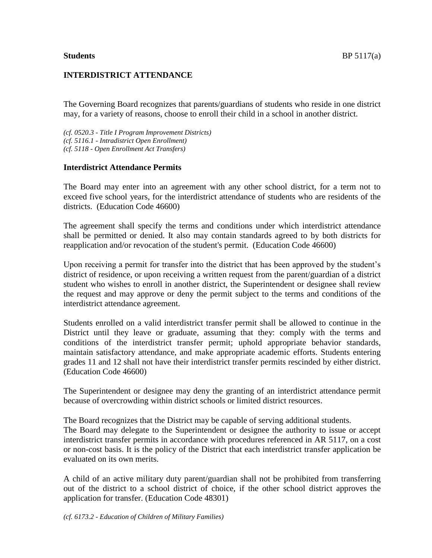## **INTERDISTRICT ATTENDANCE**

The Governing Board recognizes that parents/guardians of students who reside in one district may, for a variety of reasons, choose to enroll their child in a school in another district.

*(cf. 0520.3 - Title I Program Improvement Districts) (cf. 5116.1 - Intradistrict Open Enrollment) (cf. 5118 - Open Enrollment Act Transfers)*

#### **Interdistrict Attendance Permits**

The Board may enter into an agreement with any other school district, for a term not to exceed five school years, for the interdistrict attendance of students who are residents of the districts. (Education Code 46600)

The agreement shall specify the terms and conditions under which interdistrict attendance shall be permitted or denied. It also may contain standards agreed to by both districts for reapplication and/or revocation of the student's permit. (Education Code 46600)

Upon receiving a permit for transfer into the district that has been approved by the student's district of residence, or upon receiving a written request from the parent/guardian of a district student who wishes to enroll in another district, the Superintendent or designee shall review the request and may approve or deny the permit subject to the terms and conditions of the interdistrict attendance agreement.

Students enrolled on a valid interdistrict transfer permit shall be allowed to continue in the District until they leave or graduate, assuming that they: comply with the terms and conditions of the interdistrict transfer permit; uphold appropriate behavior standards, maintain satisfactory attendance, and make appropriate academic efforts. Students entering grades 11 and 12 shall not have their interdistrict transfer permits rescinded by either district. (Education Code 46600)

The Superintendent or designee may deny the granting of an interdistrict attendance permit because of overcrowding within district schools or limited district resources.

The Board recognizes that the District may be capable of serving additional students. The Board may delegate to the Superintendent or designee the authority to issue or accept interdistrict transfer permits in accordance with procedures referenced in AR 5117, on a cost or non-cost basis. It is the policy of the District that each interdistrict transfer application be evaluated on its own merits.

A child of an active military duty parent/guardian shall not be prohibited from transferring out of the district to a school district of choice, if the other school district approves the application for transfer. (Education Code 48301)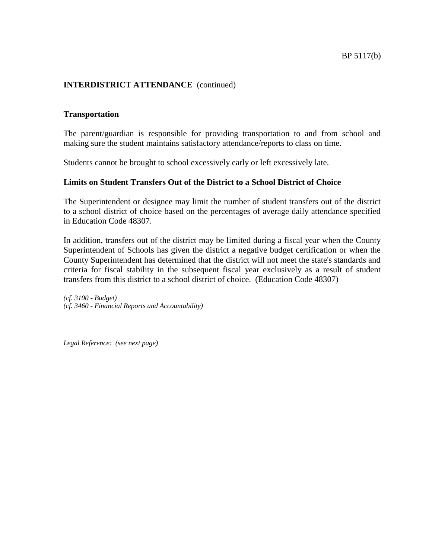# **INTERDISTRICT ATTENDANCE** (continued)

## **Transportation**

The parent/guardian is responsible for providing transportation to and from school and making sure the student maintains satisfactory attendance/reports to class on time.

Students cannot be brought to school excessively early or left excessively late.

## **Limits on Student Transfers Out of the District to a School District of Choice**

The Superintendent or designee may limit the number of student transfers out of the district to a school district of choice based on the percentages of average daily attendance specified in Education Code 48307.

In addition, transfers out of the district may be limited during a fiscal year when the County Superintendent of Schools has given the district a negative budget certification or when the County Superintendent has determined that the district will not meet the state's standards and criteria for fiscal stability in the subsequent fiscal year exclusively as a result of student transfers from this district to a school district of choice. (Education Code 48307)

*(cf. 3100 - Budget) (cf. 3460 - Financial Reports and Accountability)*

*Legal Reference: (see next page)*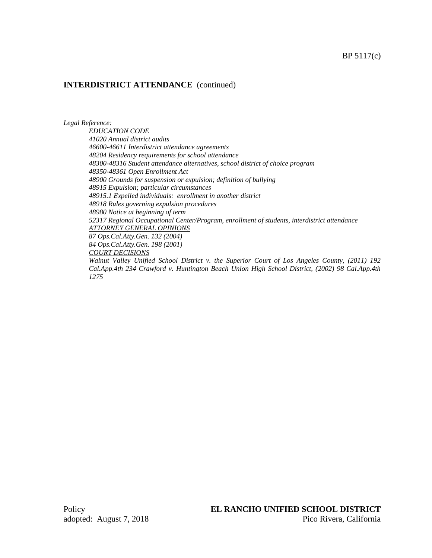## **INTERDISTRICT ATTENDANCE** (continued)

*Legal Reference:*

*EDUCATION CODE 41020 Annual district audits 46600-46611 Interdistrict attendance agreements 48204 Residency requirements for school attendance 48300-48316 Student attendance alternatives, school district of choice program 48350-48361 Open Enrollment Act 48900 Grounds for suspension or expulsion; definition of bullying 48915 Expulsion; particular circumstances 48915.1 Expelled individuals: enrollment in another district 48918 Rules governing expulsion procedures 48980 Notice at beginning of term 52317 Regional Occupational Center/Program, enrollment of students, interdistrict attendance ATTORNEY GENERAL OPINIONS 87 Ops.Cal.Atty.Gen. 132 (2004) 84 Ops.Cal.Atty.Gen. 198 (2001) COURT DECISIONS Walnut Valley Unified School District v. the Superior Court of Los Angeles County, (2011) 192* 

*Cal.App.4th 234 Crawford v. Huntington Beach Union High School District, (2002) 98 Cal.App.4th 1275*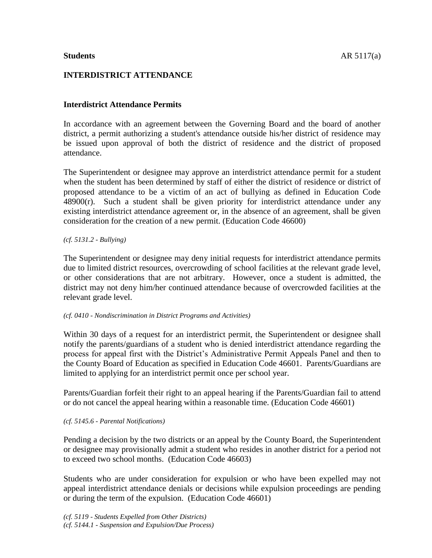# **INTERDISTRICT ATTENDANCE**

# **Interdistrict Attendance Permits**

In accordance with an agreement between the Governing Board and the board of another district, a permit authorizing a student's attendance outside his/her district of residence may be issued upon approval of both the district of residence and the district of proposed attendance.

The Superintendent or designee may approve an interdistrict attendance permit for a student when the student has been determined by staff of either the district of residence or district of proposed attendance to be a victim of an act of bullying as defined in Education Code 48900(r). Such a student shall be given priority for interdistrict attendance under any existing interdistrict attendance agreement or, in the absence of an agreement, shall be given consideration for the creation of a new permit. (Education Code 46600)

#### *(cf. 5131.2 - Bullying)*

The Superintendent or designee may deny initial requests for interdistrict attendance permits due to limited district resources, overcrowding of school facilities at the relevant grade level, or other considerations that are not arbitrary. However, once a student is admitted, the district may not deny him/her continued attendance because of overcrowded facilities at the relevant grade level.

#### *(cf. 0410 - Nondiscrimination in District Programs and Activities)*

Within 30 days of a request for an interdistrict permit, the Superintendent or designee shall notify the parents/guardians of a student who is denied interdistrict attendance regarding the process for appeal first with the District's Administrative Permit Appeals Panel and then to the County Board of Education as specified in Education Code 46601. Parents/Guardians are limited to applying for an interdistrict permit once per school year.

Parents/Guardian forfeit their right to an appeal hearing if the Parents/Guardian fail to attend or do not cancel the appeal hearing within a reasonable time. (Education Code 46601)

## *(cf. 5145.6 - Parental Notifications)*

Pending a decision by the two districts or an appeal by the County Board, the Superintendent or designee may provisionally admit a student who resides in another district for a period not to exceed two school months. (Education Code 46603)

Students who are under consideration for expulsion or who have been expelled may not appeal interdistrict attendance denials or decisions while expulsion proceedings are pending or during the term of the expulsion. (Education Code 46601)